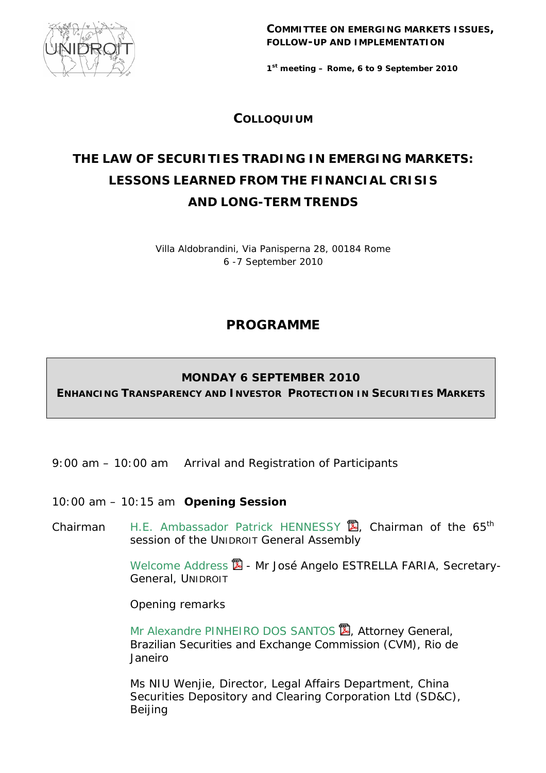

**COMMITTEE ON EMERGING MARKETS ISSUES, FOLLOW-UP AND IMPLEMENTATION**

*1st meeting – Rome, 6 to 9 September 2010* 

**COLLOQUIUM**

# **THE LAW OF SECURITIES TRADING IN EMERGING MARKETS: LESSONS LEARNED FROM THE FINANCIAL CRISIS AND LONG-TERM TRENDS**

Villa Aldobrandini, Via Panisperna 28, 00184 Rome 6 -7 September 2010

## **PROGRAMME**

## **MONDAY 6 SEPTEMBER 2010**

**ENHANCING TRANSPARENCY AND INVESTOR PROTECTION IN SECURITIES MARKETS**

- 9:00 am 10:00 am Arrival and Registration of Participants
- 10:00 am 10:15 am **Opening Session**
- *Chairman* H.E. Ambassador Patrick HENNESSY **図**, Chairman of the 65<sup>th</sup> session of the UNIDROIT General Assembly

*[Welcome Address](http://www.unidroit.org/english/documents/2010/study78b/cem1-colloquium2010/faria.pdf)* 2 - Mr José Angelo ESTRELLA FARIA, Secretary-General, UNIDROIT

*Opening remarks*

Mr Alexandre PINHEIRO DOS SANTOS **図, Attorney General**, Brazilian Securities and Exchange Commission (CVM), Rio de Janeiro

 Ms NIU Wenjie, Director, Legal Affairs Department, China Securities Depository and Clearing Corporation Ltd (SD&C), Beijing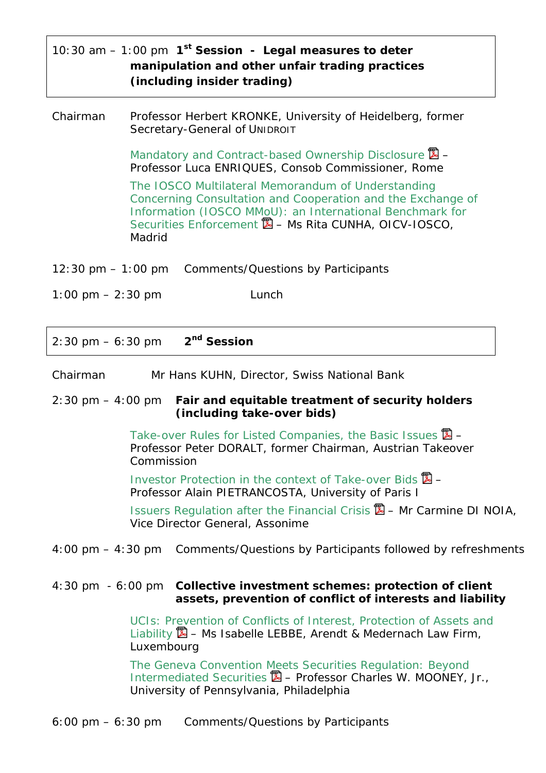|                                                 |                                    | 10:30 am $-$ 1:00 pm $1^{st}$ Session - Legal measures to deter |  |  |
|-------------------------------------------------|------------------------------------|-----------------------------------------------------------------|--|--|
| manipulation and other unfair trading practices |                                    |                                                                 |  |  |
|                                                 | <i>(including insider trading)</i> |                                                                 |  |  |

*Chairman* Professor Herbert KRONKE, University of Heidelberg, former Secretary-General of UNIDROIT

> [Mandatory and Contract-based Ownership Disclosure](http://www.unidroit.org/english/documents/2010/study78b/cem1-colloquium2010/enriques.pdf) *– Professor Luca ENRIQUES, Consob Commissioner, Rome*

The IOSCO Multilateral Memorandum of Understanding [Concerning Consultation and Cooperation and the Exchange of](http://www.unidroit.org/english/documents/2010/study78b/cem1-colloquium2010/cunha.pdf)  Information (IOSCO MMoU): an International Benchmark for Securities Enforcement *– Ms Rita CUNHA, OICV-IOSCO, Madrid* 

12:30 pm – 1:00 pm Comments/Questions by Participants

1:00 pm  $- 2:30$  pm  $\qquad \qquad$  Lunch

2:30 pm – 6:30 pm **2nd Session**

*Chairman* Mr Hans KUHN, Director, Swiss National Bank

#### 2:30 pm – 4:00 pm *Fair and equitable treatment of security holders (including take-over bids)*

[Take-over Rules for Listed Companies, the Basic Issues](http://www.unidroit.org/english/documents/2010/study78b/cem1-colloquium2010/doralt.pdf)  $\mathbb{Z}$  – *Professor Peter DORALT, former Chairman, Austrian Takeover Commission* 

[Investor Protection in the context of Take-over Bids](http://www.unidroit.org/english/documents/2010/study78b/cem1-colloquium2010/pietrancosta.pdf)  $\mathbb{Z}$  – *Professor Alain PIETRANCOSTA, University of Paris I* 

[Issuers Regulation after the Financial Crisis](http://www.unidroit.org/english/documents/2010/study78b/cem1-colloquium2010/dinoia.pdf) – *Mr Carmine DI NOIA, Vice Director General, Assonime*

4:00 pm – 4:30 pm Comments/Questions by Participants followed by refreshments

#### 4:30 pm - 6:00 pm *Collective investment schemes: protection of client assets, prevention of conflict of interests and liability*

[UCIs: Prevention of Conflicts of Interest, Protection of Assets and](http://www.unidroit.org/english/documents/2010/study78b/cem1-colloquium2010/lebbe.pdf)  Liability – *Ms Isabelle LEBBE, Arendt & Medernach Law Firm, Luxembourg* 

[The Geneva Convention Meets Securities Regulation: Beyond](http://www.unidroit.org/english/documents/2010/study78b/cem1-colloquium2010/mooney.pdf)  Intermediated Securities – *Professor Charles W. MOONEY, Jr., University of Pennsylvania, Philadelphia*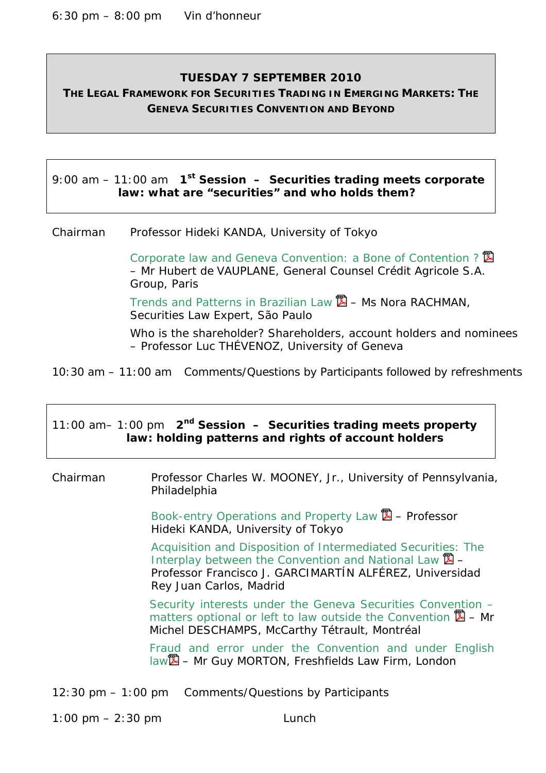#### **TUESDAY 7 SEPTEMBER 2010**

**THE LEGAL FRAMEWORK FOR SECURITIES TRADING IN EMERGING MARKETS: THE GENEVA SECURITIES CONVENTION AND BEYOND**

9:00 am – 11:00 am **1st Session –** *Securities trading meets corporate law: what are "securities" and who holds them?* 

*Chairman* Professor Hideki KANDA, University of Tokyo

Corporate law and Geneva Convention: a Bone of Contention? **図** – *Mr Hubert de VAUPLANE, General Counsel Crédit Agricole S.A. Group, Paris*

[Trends and Patterns in Brazilian Law](http://www.unidroit.org/english/cem1/rachman.pdf) – *Ms Nora RACHMAN,* Securities Law Expert, São Paulo

 Who is the shareholder? Shareholders, account holders and nominees *– Professor Luc THÉVENOZ, University of Geneva*

10:30 am – 11:00 am Comments/Questions by Participants followed by refreshments

|                                                     |  | 11:00 am- 1:00 pm $2nd$ Session - Securities trading meets property |  |  |
|-----------------------------------------------------|--|---------------------------------------------------------------------|--|--|
| law: holding patterns and rights of account holders |  |                                                                     |  |  |

*Chairman* Professor Charles W. MOONEY, Jr., University of Pennsylvania, Philadelphia

> [Book-entry Operations and Property Law](http://www.unidroit.org/english/documents/2010/study78b/cem1-colloquium2010/kanda.pdf) – *Professor Hideki KANDA, University of Tokyo*

[Acquisition and Disposition of Intermediated Securities: The](http://www.unidroit.org/english/documents/2010/study78b/cem1-colloquium2010/garcimartin.pdf) Interplay between the Convention and National Law  $\mathbb{Z}$  -*Professor Francisco J. GARCIMARTÍN ALFÉREZ, Universidad Rey Juan Carlos, Madrid* 

[Security interests under the Geneva Securities Convention –](http://www.unidroit.org/english/documents/2010/study78b/cem1-colloquium2010/deschamps.pdf)  matters optional or left to law outside the Convention *– Mr Michel DESCHAMPS, McCarthy Tétrault, Montréal* 

[Fraud and error under the Convention and under English](http://www.unidroit.org/english/documents/2010/study78b/cem1-colloquium2010/morton.pdf)  law *– Mr Guy MORTON, Freshfields Law Firm, London* 

12:30 pm – 1:00 pm Comments/Questions by Participants

1:00 pm – 2:30 pm Lunch